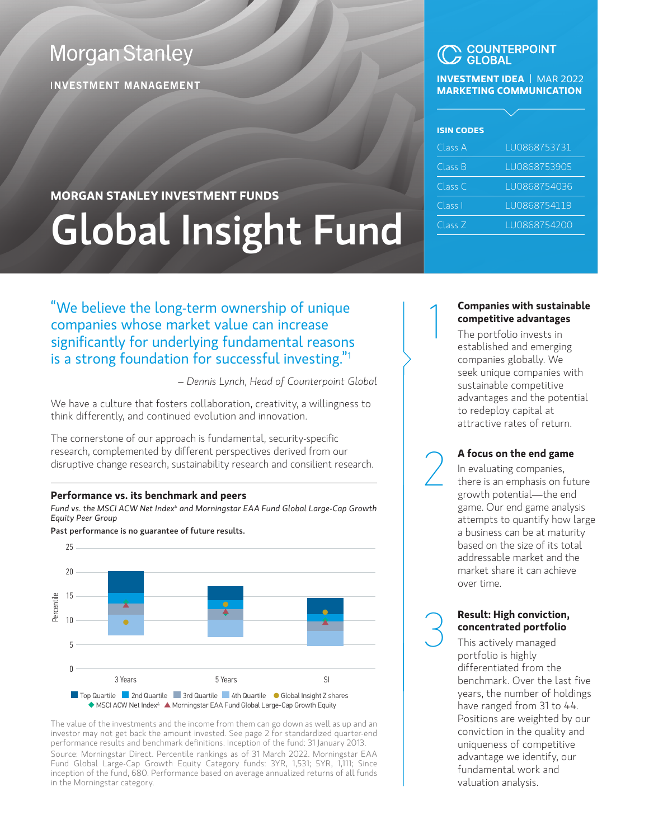## **Morgan Stanley**

**INVESTMENT MANAGEMENT** 

#### **COUNTERPOINT GI ORAL**

#### **INVESTMENT IDEA** | MAR 2022 **MARKETING COMMUNICATION**

| <b>ISIN CODES</b> |              |
|-------------------|--------------|
| Class A           | LU0868753731 |
| Class B           | LU0868753905 |
| Class C           | LU0868754036 |
| Class I           | LU0868754119 |
| Class Z           | LU0868754200 |

# **MORGAN STANLEY INVESTMENT FUNDS** Global Insight Fund

"We believe the long-term ownership of unique companies whose market value can increase significantly for underlying fundamental reasons is a strong foundation for successful investing."1

*– Dennis Lynch, Head of Counterpoint Global*

We have a culture that fosters collaboration, creativity, a willingness to think differently, and continued evolution and innovation.

The cornerstone of our approach is fundamental, security-specific research, complemented by different perspectives derived from our disruptive change research, sustainability research and consilient research.

#### **Performance vs. its benchmark and peers**

*Fund vs. the MSCI ACW Net Index4 and Morningstar EAA Fund Global Large-Cap Growth Equity Peer Group*

Past performance is no guarantee of future results.



The value of the investments and the income from them can go down as well as up and an investor may not get back the amount invested. See page 2 for standardized quarter-end performance results and benchmark definitions. Inception of the fund: 31 January 2013. Source: Morningstar Direct. Percentile rankings as of 31 March 2022. Morningstar EAA Fund Global Large-Cap Growth Equity Category funds: 3YR, 1,531; 5YR, 1,111; Since inception of the fund, 680. Performance based on average annualized returns of all funds in the Morningstar category.

#### **Companies with sustainable competitive advantages**

1

The portfolio invests in established and emerging companies globally. We seek unique companies with sustainable competitive advantages and the potential to redeploy capital at attractive rates of return.

**A focus on the end game**<br>In evaluating companies,<br>there is an emphasis on fut<br>growth potential—the end In evaluating companies, there is an emphasis on future growth potential—the end game. Our end game analysis attempts to quantify how large a business can be at maturity based on the size of its total addressable market and the market share it can achieve over time.

#### 3 **Result: High conviction, concentrated portfolio**

This actively managed portfolio is highly differentiated from the benchmark. Over the last five years, the number of holdings have ranged from 31 to 44. Positions are weighted by our conviction in the quality and uniqueness of competitive advantage we identify, our fundamental work and valuation analysis.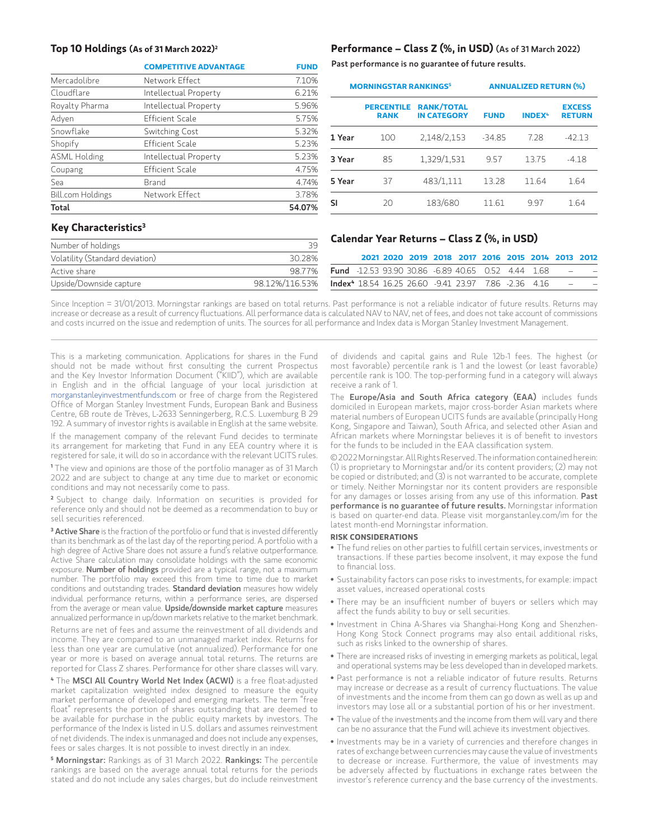|                     | <b>COMPETITIVE ADVANTAGE</b> | <b>FUND</b> |
|---------------------|------------------------------|-------------|
| Mercadolibre        | Network Effect               | 7.10%       |
| Cloudflare          | Intellectual Property        | 6.21%       |
| Royalty Pharma      | Intellectual Property        | 5.96%       |
| Adyen               | Efficient Scale              | 5.75%       |
| Snowflake           | Switching Cost               | 5.32%       |
| Shopify             | <b>Efficient Scale</b>       | 5.23%       |
| <b>ASML Holding</b> | Intellectual Property        | 5.23%       |
| Coupang             | <b>Efficient Scale</b>       | 4.75%       |
| Sea                 | Brand                        | 4.74%       |
| Bill.com Holdings   | Network Effect               | 3.78%       |
| Total               |                              | 54.07%      |

#### **Top 10 Holdings (As of 31 March 2022)2 Performance – Class Z (%, in USD)** (As of 31 March 2022)

Past performance is no guarantee of future results.

| <b>MORNINGSTAR RANKINGS<sup>5</sup></b> |                                  |                                         | <b>ANNUALIZED RETURN (%)</b> |               |                                |  |  |
|-----------------------------------------|----------------------------------|-----------------------------------------|------------------------------|---------------|--------------------------------|--|--|
|                                         | <b>PERCENTILE</b><br><b>RANK</b> | <b>RANK/TOTAL</b><br><b>IN CATEGORY</b> | <b>FUND</b>                  | <b>INDEX4</b> | <b>EXCESS</b><br><b>RETURN</b> |  |  |
| 1 Year                                  | 100                              | 2,148/2,153                             | $-34.85$                     | 7.28          | $-42.13$                       |  |  |
| 3 Year                                  | 85                               | 1,329/1,531                             | 9.57                         | 13.75         | $-4.18$                        |  |  |
| 5 Year                                  | 37                               | 483/1,111                               | 13.28                        | 11.64         | 1.64                           |  |  |
| SI                                      | 20                               | 183/680                                 | 11.61                        | 997           | 1.64                           |  |  |

#### **Key Characteristics3**

| Number of holdings              | 39             |
|---------------------------------|----------------|
| Volatility (Standard deviation) | 30.28%         |
| Active share                    | 98.77%         |
| Upside/Downside capture         | 98.12%/116.53% |
|                                 |                |

#### **Calendar Year Returns – Class Z (%, in USD)**

|  | 2021 2020 2019 2018 2017 2016 2015 2014 2013 2012                      |  |  |  |  |
|--|------------------------------------------------------------------------|--|--|--|--|
|  | <b>Fund</b> -12.53 93.90 30.86 -6.89 40.65 0.52 4.44 1.68              |  |  |  |  |
|  | <b>Index<sup>4</sup></b> 18.54 16.25 26.60 -9.41 23.97 7.86 -2.36 4.16 |  |  |  |  |

Since Inception = 31/01/2013. Morningstar rankings are based on total returns. Past performance is not a reliable indicator of future results. Returns may increase or decrease as a result of currency fluctuations. All performance data is calculated NAV to NAV, net of fees, and does not take account of commissions and costs incurred on the issue and redemption of units. The sources for all performance and Index data is Morgan Stanley Investment Management.

This is a marketing communication. Applications for shares in the Fund should not be made without first consulting the current Prospectus and the Key Investor Information Document ("KIID"), which are available in English and in the official language of your local jurisdiction at morganstanleyinvestmentfunds.com or free of charge from the Registered Office of Morgan Stanley Investment Funds, European Bank and Business Centre, 6B route de Trèves, L-2633 Senningerberg, R.C.S. Luxemburg B 29 192. A summary of investor rights is available in English at the same website.

If the management company of the relevant Fund decides to terminate its arrangement for marketing that Fund in any EEA country where it is registered for sale, it will do so in accordance with the relevant UCITS rules.

**1** The view and opinions are those of the portfolio manager as of 31 March 2022 and are subject to change at any time due to market or economic conditions and may not necessarily come to pass.

**<sup>2</sup>**Subject to change daily. Information on securities is provided for reference only and should not be deemed as a recommendation to buy or sell securities referenced.

<sup>3</sup> Active Share is the fraction of the portfolio or fund that is invested differently than its benchmark as of the last day of the reporting period. A portfolio with a high degree of Active Share does not assure a fund's relative outperformance. Active Share calculation may consolidate holdings with the same economic exposure. Number of holdings provided are a typical range, not a maximum number. The portfolio may exceed this from time to time due to market conditions and outstanding trades. Standard deviation measures how widely individual performance returns, within a performance series, are dispersed from the average or mean value. Upside/downside market capture measures annualized performance in up/down markets relative to the market benchmark.

Returns are net of fees and assume the reinvestment of all dividends and income. They are compared to an unmanaged market index. Returns for less than one year are cumulative (not annualized). Performance for one year or more is based on average annual total returns. The returns are reported for Class Z shares. Performance for other share classes will vary.

**4** The MSCI All Country World Net Index (ACWI) is a free float-adjusted market capitalization weighted index designed to measure the equity market performance of developed and emerging markets. The term "free float" represents the portion of shares outstanding that are deemed to be available for purchase in the public equity markets by investors. The performance of the Index is listed in U.S. dollars and assumes reinvestment of net dividends. The index is unmanaged and does not include any expenses, fees or sales charges. It is not possible to invest directly in an index.

**<sup>5</sup>** Morningstar: Rankings as of 31 March 2022. Rankings: The percentile rankings are based on the average annual total returns for the periods stated and do not include any sales charges, but do include reinvestment of dividends and capital gains and Rule 12b-1 fees. The highest (or most favorable) percentile rank is 1 and the lowest (or least favorable) percentile rank is 100. The top-performing fund in a category will always receive a rank of 1.

The Europe/Asia and South Africa category (EAA) includes funds domiciled in European markets, major cross-border Asian markets where material numbers of European UCITS funds are available (principally Hong Kong, Singapore and Taiwan), South Africa, and selected other Asian and African markets where Morningstar believes it is of benefit to investors for the funds to be included in the EAA classification system.

© 2022 Morningstar. All Rights Reserved. The information contained herein: (1) is proprietary to Morningstar and/or its content providers; (2) may not be copied or distributed; and (3) is not warranted to be accurate, complete or timely. Neither Morningstar nor its content providers are responsible for any damages or losses arising from any use of this information. Past performance is no guarantee of future results. Morningstar information is based on quarter-end data. Please visit morganstanley.com/im for the latest month-end Morningstar information.

#### **RISK CONSIDERATIONS**

- The fund relies on other parties to fulfill certain services, investments or transactions. If these parties become insolvent, it may expose the fund to financial loss.
- Sustainability factors can pose risks to investments, for example: impact asset values, increased operational costs
- There may be an insufficient number of buyers or sellers which may affect the funds ability to buy or sell securities.
- Investment in China A-Shares via Shanghai-Hong Kong and Shenzhen-Hong Kong Stock Connect programs may also entail additional risks, such as risks linked to the ownership of shares.
- There are increased risks of investing in emerging markets as political, legal and operational systems may be less developed than in developed markets.
- Past performance is not a reliable indicator of future results. Returns may increase or decrease as a result of currency fluctuations. The value of investments and the income from them can go down as well as up and investors may lose all or a substantial portion of his or her investment.
- The value of the investments and the income from them will vary and there can be no assurance that the Fund will achieve its investment objectives.
- Investments may be in a variety of currencies and therefore changes in rates of exchange between currencies may cause the value of investments to decrease or increase. Furthermore, the value of investments may be adversely affected by fluctuations in exchange rates between the investor's reference currency and the base currency of the investments.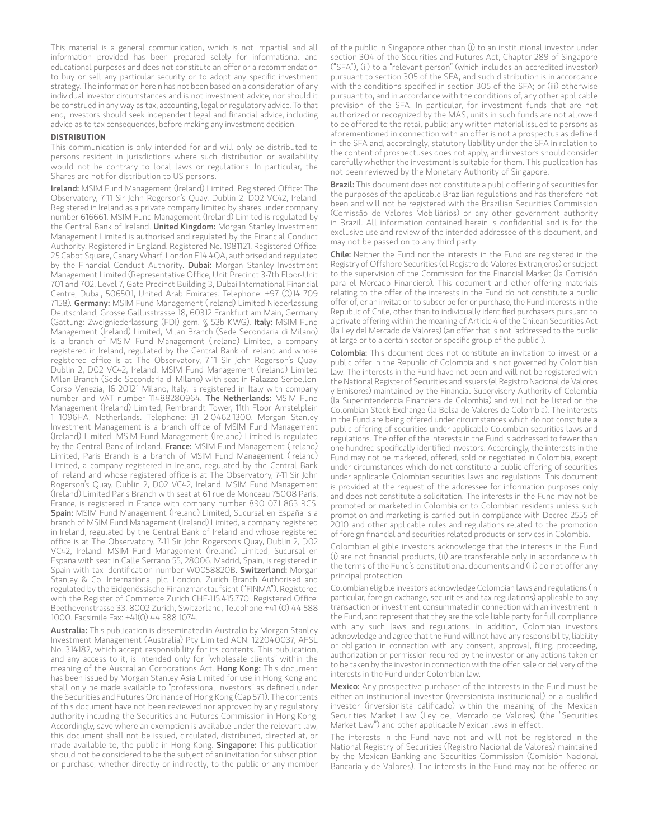This material is a general communication, which is not impartial and all information provided has been prepared solely for informational and educational purposes and does not constitute an offer or a recommendation to buy or sell any particular security or to adopt any specific investment strategy. The information herein has not been based on a consideration of any individual investor circumstances and is not investment advice, nor should it be construed in any way as tax, accounting, legal or regulatory advice. To that end, investors should seek independent legal and financial advice, including advice as to tax consequences, before making any investment decision.

#### **DISTRIBUTION**

This communication is only intended for and will only be distributed to persons resident in jurisdictions where such distribution or availability would not be contrary to local laws or regulations. In particular, the Shares are not for distribution to US persons.

Ireland: MSIM Fund Management (Ireland) Limited. Registered Office: The Observatory, 7-11 Sir John Rogerson's Quay, Dublin 2, D02 VC42, Ireland. Registered in Ireland as a private company limited by shares under company number 616661. MSIM Fund Management (Ireland) Limited is regulated by the Central Bank of Ireland. United Kingdom: Morgan Stanley Investment Management Limited is authorised and regulated by the Financial Conduct Authority. Registered in England. Registered No. 1981121. Registered Office: 25 Cabot Square, Canary Wharf, London E14 4QA, authorised and regulated by the Financial Conduct Authority. Dubai: Morgan Stanley Investment Management Limited (Representative Office, Unit Precinct 3-7th Floor-Unit 701 and 702, Level 7, Gate Precinct Building 3, Dubai International Financial Centre, Dubai, 506501, United Arab Emirates. Telephone: +97 (0)14 709 7158). Germany: MSIM Fund Management (Ireland) Limited Niederlassung Deutschland, Grosse Gallusstrasse 18, 60312 Frankfurt am Main, Germany (Gattung: Zweigniederlassung (FDI) gem. § 53b KWG). Italy: MSIM Fund Management (Ireland) Limited, Milan Branch (Sede Secondaria di Milano) is a branch of MSIM Fund Management (Ireland) Limited, a company registered in Ireland, regulated by the Central Bank of Ireland and whose registered office is at The Observatory, 7-11 Sir John Rogerson's Quay, Dublin 2, D02 VC42, Ireland. MSIM Fund Management (Ireland) Limited Milan Branch (Sede Secondaria di Milano) with seat in Palazzo Serbelloni Corso Venezia, 16 20121 Milano, Italy, is registered in Italy with company number and VAT number 11488280964. The Netherlands: MSIM Fund Management (Ireland) Limited, Rembrandt Tower, 11th Floor Amstelplein 1 1096HA, Netherlands. Telephone: 31 2-0462-1300. Morgan Stanley Investment Management is a branch office of MSIM Fund Management (Ireland) Limited. MSIM Fund Management (Ireland) Limited is regulated by the Central Bank of Ireland. France: MSIM Fund Management (Ireland) Limited, Paris Branch is a branch of MSIM Fund Management (Ireland) Limited, a company registered in Ireland, regulated by the Central Bank of Ireland and whose registered office is at The Observatory, 7-11 Sir John Rogerson's Quay, Dublin 2, D02 VC42, Ireland. MSIM Fund Management (Ireland) Limited Paris Branch with seat at 61 rue de Monceau 75008 Paris, France, is registered in France with company number 890 071 863 RCS. Spain: MSIM Fund Management (Ireland) Limited, Sucursal en España is a branch of MSIM Fund Management (Ireland) Limited, a company registered in Ireland, regulated by the Central Bank of Ireland and whose registered office is at The Observatory, 7-11 Sir John Rogerson's Quay, Dublin 2, D02 VC42, Ireland. MSIM Fund Management (Ireland) Limited, Sucursal en España with seat in Calle Serrano 55, 28006, Madrid, Spain, is registered in Spain with tax identification number W0058820B. Switzerland: Morgan Stanley & Co. International plc, London, Zurich Branch Authorised and regulated by the Eidgenössische Finanzmarktaufsicht ("FINMA"). Registered with the Register of Commerce Zurich CHE-115.415.770. Registered Office: Beethovenstrasse 33, 8002 Zurich, Switzerland, Telephone +41 (0) 44 588 1000. Facsimile Fax: +41(0) 44 588 1074.

Australia: This publication is disseminated in Australia by Morgan Stanley Investment Management (Australia) Pty Limited ACN: 122040037, AFSL No. 314182, which accept responsibility for its contents. This publication, and any access to it, is intended only for "wholesale clients" within the meaning of the Australian Corporations Act. Hong Kong: This document has been issued by Morgan Stanley Asia Limited for use in Hong Kong and shall only be made available to "professional investors" as defined under the Securities and Futures Ordinance of Hong Kong (Cap 571). The contents of this document have not been reviewed nor approved by any regulatory authority including the Securities and Futures Commission in Hong Kong. Accordingly, save where an exemption is available under the relevant law, this document shall not be issued, circulated, distributed, directed at, or made available to, the public in Hong Kong. Singapore: This publication should not be considered to be the subject of an invitation for subscription or purchase, whether directly or indirectly, to the public or any member of the public in Singapore other than (i) to an institutional investor under section 304 of the Securities and Futures Act, Chapter 289 of Singapore ("SFA"), (ii) to a "relevant person" (which includes an accredited investor) pursuant to section 305 of the SFA, and such distribution is in accordance with the conditions specified in section 305 of the SFA; or (iii) otherwise pursuant to, and in accordance with the conditions of, any other applicable provision of the SFA. In particular, for investment funds that are not authorized or recognized by the MAS, units in such funds are not allowed to be offered to the retail public; any written material issued to persons as aforementioned in connection with an offer is not a prospectus as defined in the SFA and, accordingly, statutory liability under the SFA in relation to the content of prospectuses does not apply, and investors should consider carefully whether the investment is suitable for them. This publication has not been reviewed by the Monetary Authority of Singapore.

**Brazil:** This document does not constitute a public offering of securities for the purposes of the applicable Brazilian regulations and has therefore not been and will not be registered with the Brazilian Securities Commission (Comissão de Valores Mobiliários) or any other government authority in Brazil. All information contained herein is confidential and is for the exclusive use and review of the intended addressee of this document, and may not be passed on to any third party.

Chile: Neither the Fund nor the interests in the Fund are registered in the Registry of Offshore Securities (el Registro de Valores Extranjeros) or subject to the supervision of the Commission for the Financial Market (la Comisión para el Mercado Financiero). This document and other offering materials relating to the offer of the interests in the Fund do not constitute a public offer of, or an invitation to subscribe for or purchase, the Fund interests in the Republic of Chile, other than to individually identified purchasers pursuant to a private offering within the meaning of Article 4 of the Chilean Securities Act (la Ley del Mercado de Valores) (an offer that is not "addressed to the public at large or to a certain sector or specific group of the public").

Colombia: This document does not constitute an invitation to invest or a public offer in the Republic of Colombia and is not governed by Colombian law. The interests in the Fund have not been and will not be registered with the National Register of Securities and Issuers (el Registro Nacional de Valores y Emisores) maintained by the Financial Supervisory Authority of Colombia (la Superintendencia Financiera de Colombia) and will not be listed on the Colombian Stock Exchange (la Bolsa de Valores de Colombia). The interests in the Fund are being offered under circumstances which do not constitute a public offering of securities under applicable Colombian securities laws and regulations. The offer of the interests in the Fund is addressed to fewer than one hundred specifically identified investors. Accordingly, the interests in the Fund may not be marketed, offered, sold or negotiated in Colombia, except under circumstances which do not constitute a public offering of securities under applicable Colombian securities laws and regulations. This document is provided at the request of the addressee for information purposes only and does not constitute a solicitation. The interests in the Fund may not be promoted or marketed in Colombia or to Colombian residents unless such promotion and marketing is carried out in compliance with Decree 2555 of 2010 and other applicable rules and regulations related to the promotion of foreign financial and securities related products or services in Colombia.

Colombian eligible investors acknowledge that the interests in the Fund (i) are not financial products, (ii) are transferable only in accordance with the terms of the Fund's constitutional documents and (iii) do not offer any principal protection.

Colombian eligible investors acknowledge Colombian laws and regulations (in particular, foreign exchange, securities and tax regulations) applicable to any transaction or investment consummated in connection with an investment in the Fund, and represent that they are the sole liable party for full compliance with any such laws and regulations. In addition, Colombian investors acknowledge and agree that the Fund will not have any responsibility, liability or obligation in connection with any consent, approval, filing, proceeding, authorization or permission required by the investor or any actions taken or to be taken by the investor in connection with the offer, sale or delivery of the interests in the Fund under Colombian law.

Mexico: Any prospective purchaser of the interests in the Fund must be either an institutional investor (inversionista institucional) or a qualified investor (inversionista calificado) within the meaning of the Mexican Securities Market Law (Ley del Mercado de Valores) (the "Securities Market Law") and other applicable Mexican laws in effect.

The interests in the Fund have not and will not be registered in the National Registry of Securities (Registro Nacional de Valores) maintained by the Mexican Banking and Securities Commission (Comisión Nacional Bancaria y de Valores). The interests in the Fund may not be offered or